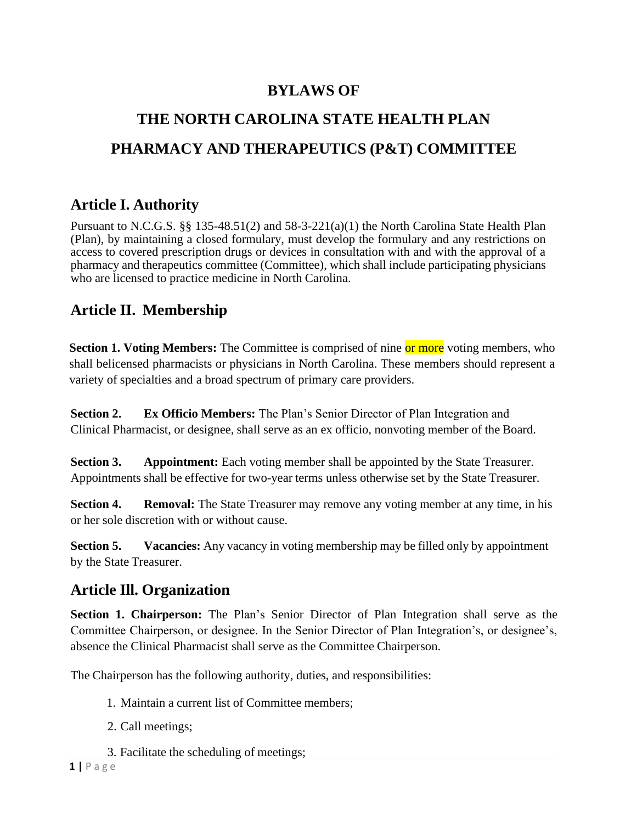## **BYLAWS OF**

# **THE NORTH CAROLINA STATE HEALTH PLAN PHARMACY AND THERAPEUTICS (P&T) COMMITTEE**

## **Article I. Authority**

Pursuant to N.C.G.S. §§ 135-48.51(2) and 58-3-221(a)(1) the North Carolina State Health Plan (Plan), by maintaining a closed formulary, must develop the formulary and any restrictions on access to covered prescription drugs or devices in consultation with and with the approval of a pharmacy and therapeutics committee (Committee), which shall include participating physicians who are licensed to practice medicine in North Carolina.

#### **Article II. Membership**

**Section 1. Voting Members:** The Committee is comprised of nine or more voting members, who shall belicensed pharmacists or physicians in North Carolina. These members should represent a variety of specialties and a broad spectrum of primary care providers.

**Section 2. Ex Officio Members:** The Plan's Senior Director of Plan Integration and Clinical Pharmacist, or designee, shall serve as an ex officio, nonvoting member of the Board.

**Section 3. Appointment:** Each voting member shall be appointed by the State Treasurer. Appointments shall be effective for two-year terms unless otherwise set by the State Treasurer.

**Section 4. Removal:** The State Treasurer may remove any voting member at any time, in his or her sole discretion with or without cause.

**Section 5. Vacancies:** Any vacancy in voting membership may be filled only by appointment by the State Treasurer.

#### **Article Ill. Organization**

**Section 1. Chairperson:** The Plan's Senior Director of Plan Integration shall serve as the Committee Chairperson, or designee. In the Senior Director of Plan Integration's, or designee's, absence the Clinical Pharmacist shall serve as the Committee Chairperson.

The Chairperson has the following authority, duties, and responsibilities:

- 1. Maintain a current list of Committee members;
- 2. Call meetings;
- 3. Facilitate the scheduling of meetings;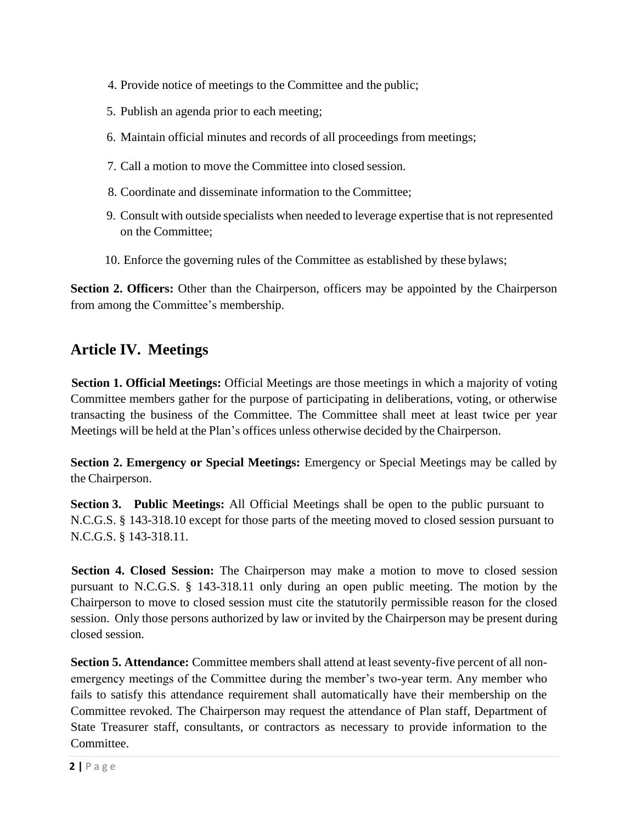- 4. Provide notice of meetings to the Committee and the public;
- 5. Publish an agenda prior to each meeting;
- 6. Maintain official minutes and records of all proceedings from meetings;
- 7. Call a motion to move the Committee into closed session.
- 8. Coordinate and disseminate information to the Committee;
- 9. Consult with outside specialists when needed to leverage expertise that is not represented on the Committee;
- 10. Enforce the governing rules of the Committee as established by these bylaws;

**Section 2. Officers:** Other than the Chairperson, officers may be appointed by the Chairperson from among the Committee's membership.

#### **Article IV. Meetings**

**Section 1. Official Meetings:** Official Meetings are those meetings in which a majority of voting Committee members gather for the purpose of participating in deliberations, voting, or otherwise transacting the business of the Committee. The Committee shall meet at least twice per year Meetings will be held at the Plan's offices unless otherwise decided by the Chairperson.

**Section 2. Emergency or Special Meetings:** Emergency or Special Meetings may be called by the Chairperson.

**Section 3. Public Meetings:** All Official Meetings shall be open to the public pursuant to N.C.G.S. § 143-318.10 except for those parts of the meeting moved to closed session pursuant to N.C.G.S. § 143-318.11.

**Section 4. Closed Session:** The Chairperson may make a motion to move to closed session pursuant to N.C.G.S. § 143-318.11 only during an open public meeting. The motion by the Chairperson to move to closed session must cite the statutorily permissible reason for the closed session. Only those persons authorized by law or invited by the Chairperson may be present during closed session.

**Section 5. Attendance:** Committee members shall attend at least seventy-five percent of all nonemergency meetings of the Committee during the member's two-year term. Any member who fails to satisfy this attendance requirement shall automatically have their membership on the Committee revoked. The Chairperson may request the attendance of Plan staff, Department of State Treasurer staff, consultants, or contractors as necessary to provide information to the Committee.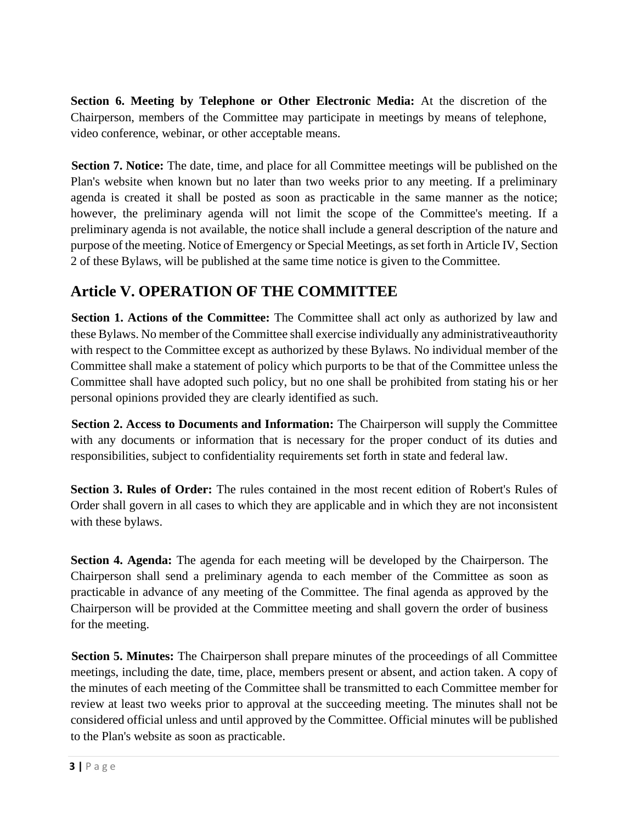**Section 6. Meeting by Telephone or Other Electronic Media:** At the discretion of the Chairperson, members of the Committee may participate in meetings by means of telephone, video conference, webinar, or other acceptable means.

**Section 7. Notice:** The date, time, and place for all Committee meetings will be published on the Plan's website when known but no later than two weeks prior to any meeting. If a preliminary agenda is created it shall be posted as soon as practicable in the same manner as the notice; however, the preliminary agenda will not limit the scope of the Committee's meeting. If a preliminary agenda is not available, the notice shall include a general description of the nature and purpose of the meeting. Notice of Emergency or Special Meetings, as set forth in Article IV, Section 2 of these Bylaws, will be published at the same time notice is given to the Committee.

# **Article V. OPERATION OF THE COMMITTEE**

**Section 1. Actions of the Committee:** The Committee shall act only as authorized by law and these Bylaws. No member of the Committee shall exercise individually any administrativeauthority with respect to the Committee except as authorized by these Bylaws. No individual member of the Committee shall make a statement of policy which purports to be that of the Committee unless the Committee shall have adopted such policy, but no one shall be prohibited from stating his or her personal opinions provided they are clearly identified as such.

**Section 2. Access to Documents and Information:** The Chairperson will supply the Committee with any documents or information that is necessary for the proper conduct of its duties and responsibilities, subject to confidentiality requirements set forth in state and federal law.

**Section 3. Rules of Order:** The rules contained in the most recent edition of Robert's Rules of Order shall govern in all cases to which they are applicable and in which they are not inconsistent with these bylaws.

**Section 4. Agenda:** The agenda for each meeting will be developed by the Chairperson. The Chairperson shall send a preliminary agenda to each member of the Committee as soon as practicable in advance of any meeting of the Committee. The final agenda as approved by the Chairperson will be provided at the Committee meeting and shall govern the order of business for the meeting.

**Section 5. Minutes:** The Chairperson shall prepare minutes of the proceedings of all Committee meetings, including the date, time, place, members present or absent, and action taken. A copy of the minutes of each meeting of the Committee shall be transmitted to each Committee member for review at least two weeks prior to approval at the succeeding meeting. The minutes shall not be considered official unless and until approved by the Committee. Official minutes will be published to the Plan's website as soon as practicable.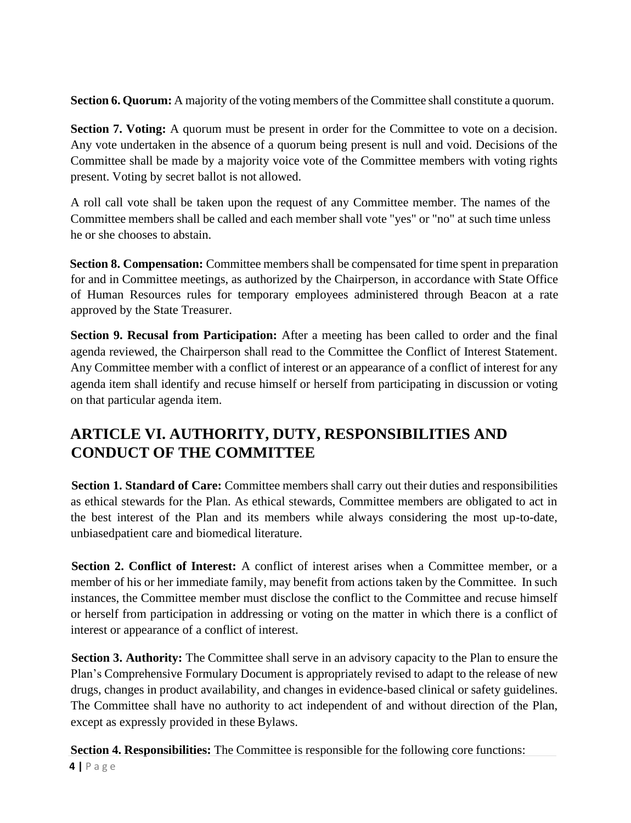**Section 6. Quorum:** A majority of the voting members of the Committee shall constitute a quorum.

**Section 7. Voting:** A quorum must be present in order for the Committee to vote on a decision. Any vote undertaken in the absence of a quorum being present is null and void. Decisions of the Committee shall be made by a majority voice vote of the Committee members with voting rights present. Voting by secret ballot is not allowed.

A roll call vote shall be taken upon the request of any Committee member. The names of the Committee members shall be called and each member shall vote "yes" or "no" at such time unless he or she chooses to abstain.

**Section 8. Compensation:** Committee members shall be compensated for time spent in preparation for and in Committee meetings, as authorized by the Chairperson, in accordance with State Office of Human Resources rules for temporary employees administered through Beacon at a rate approved by the State Treasurer.

**Section 9. Recusal from Participation:** After a meeting has been called to order and the final agenda reviewed, the Chairperson shall read to the Committee the Conflict of Interest Statement. Any Committee member with a conflict of interest or an appearance of a conflict of interest for any agenda item shall identify and recuse himself or herself from participating in discussion or voting on that particular agenda item.

# **ARTICLE VI. AUTHORITY, DUTY, RESPONSIBILITIES AND CONDUCT OF THE COMMITTEE**

**Section 1. Standard of Care:** Committee members shall carry out their duties and responsibilities as ethical stewards for the Plan. As ethical stewards, Committee members are obligated to act in the best interest of the Plan and its members while always considering the most up-to-date, unbiasedpatient care and biomedical literature.

**Section 2. Conflict of Interest:** A conflict of interest arises when a Committee member, or a member of his or her immediate family, may benefit from actions taken by the Committee. In such instances, the Committee member must disclose the conflict to the Committee and recuse himself or herself from participation in addressing or voting on the matter in which there is a conflict of interest or appearance of a conflict of interest.

**Section 3. Authority:** The Committee shall serve in an advisory capacity to the Plan to ensure the Plan's Comprehensive Formulary Document is appropriately revised to adapt to the release of new drugs, changes in product availability, and changes in evidence-based clinical or safety guidelines. The Committee shall have no authority to act independent of and without direction of the Plan, except as expressly provided in these Bylaws.

**Section 4. Responsibilities:** The Committee is responsible for the following core functions: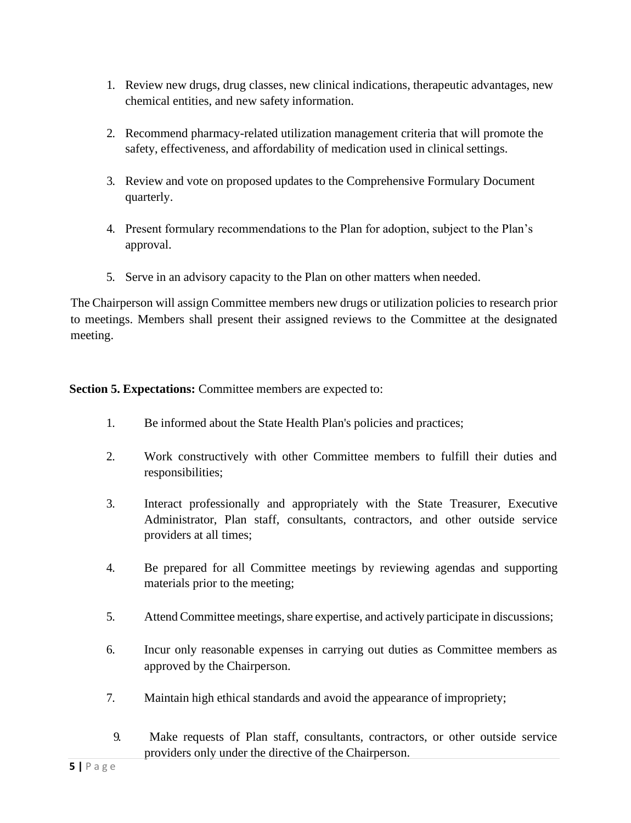- 1. Review new drugs, drug classes, new clinical indications, therapeutic advantages, new chemical entities, and new safety information.
- 2. Recommend pharmacy-related utilization management criteria that will promote the safety, effectiveness, and affordability of medication used in clinical settings.
- 3. Review and vote on proposed updates to the Comprehensive Formulary Document quarterly.
- 4. Present formulary recommendations to the Plan for adoption, subject to the Plan's approval.
- 5. Serve in an advisory capacity to the Plan on other matters when needed.

The Chairperson will assign Committee members new drugs or utilization policies to research prior to meetings. Members shall present their assigned reviews to the Committee at the designated meeting.

**Section 5. Expectations:** Committee members are expected to:

- 1. Be informed about the State Health Plan's policies and practices;
- 2. Work constructively with other Committee members to fulfill their duties and responsibilities;
- 3. Interact professionally and appropriately with the State Treasurer, Executive Administrator, Plan staff, consultants, contractors, and other outside service providers at all times;
- 4. Be prepared for all Committee meetings by reviewing agendas and supporting materials prior to the meeting;
- 5. Attend Committee meetings, share expertise, and actively participate in discussions;
- 6. Incur only reasonable expenses in carrying out duties as Committee members as approved by the Chairperson.
- 7. Maintain high ethical standards and avoid the appearance of impropriety;
- 9. Make requests of Plan staff, consultants, contractors, or other outside service providers only under the directive of the Chairperson.